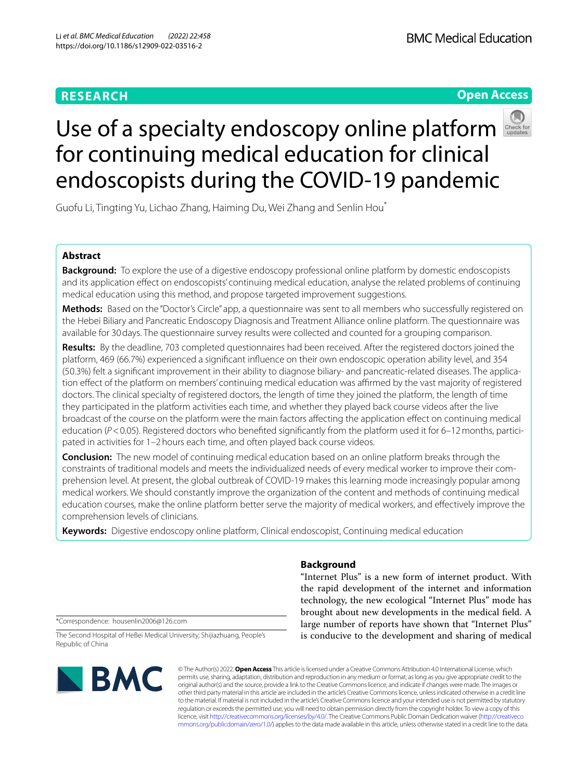# **RESEARCH**

# **Open Access**



# Useof a specialty endoscopy online platform for continuing medical education for clinical endoscopists during the COVID-19 pandemic

Guofu Li, Tingting Yu, Lichao Zhang, Haiming Du, Wei Zhang and Senlin Hou\*

# **Abstract**

**Background:** To explore the use of a digestive endoscopy professional online platform by domestic endoscopists and its application efect on endoscopists' continuing medical education, analyse the related problems of continuing medical education using this method, and propose targeted improvement suggestions.

**Methods:** Based on the "Doctor's Circle" app, a questionnaire was sent to all members who successfully registered on the Hebei Biliary and Pancreatic Endoscopy Diagnosis and Treatment Alliance online platform. The questionnaire was available for 30days. The questionnaire survey results were collected and counted for a grouping comparison.

**Results:** By the deadline, 703 completed questionnaires had been received. After the registered doctors joined the platform, 469 (66.7%) experienced a signifcant infuence on their own endoscopic operation ability level, and 354 (50.3%) felt a signifcant improvement in their ability to diagnose biliary- and pancreatic-related diseases. The application efect of the platform on members' continuing medical education was afrmed by the vast majority of registered doctors. The clinical specialty of registered doctors, the length of time they joined the platform, the length of time they participated in the platform activities each time, and whether they played back course videos after the live broadcast of the course on the platform were the main factors afecting the application efect on continuing medical education ( $P$ <0.05). Registered doctors who benefited significantly from the platform used it for 6–12 months, participated in activities for 1–2hours each time, and often played back course videos.

**Conclusion:** The new model of continuing medical education based on an online platform breaks through the constraints of traditional models and meets the individualized needs of every medical worker to improve their comprehension level. At present, the global outbreak of COVID-19 makes this learning mode increasingly popular among medical workers. We should constantly improve the organization of the content and methods of continuing medical education courses, make the online platform better serve the majority of medical workers, and efectively improve the comprehension levels of clinicians.

**Keywords:** Digestive endoscopy online platform, Clinical endoscopist, Continuing medical education

# **Background**

"Internet Plus" is a new form of internet product. With the rapid development of the internet and information technology, the new ecological "Internet Plus" mode has brought about new developments in the medical feld. A large number of reports have shown that "Internet Plus" is conducive to the development and sharing of medical

\*Correspondence: housenlin2006@126.com

The Second Hospital of HeBei Medical University, Shijiazhuang, People's Republic of China



© The Author(s) 2022. **Open Access** This article is licensed under a Creative Commons Attribution 4.0 International License, which permits use, sharing, adaptation, distribution and reproduction in any medium or format, as long as you give appropriate credit to the original author(s) and the source, provide a link to the Creative Commons licence, and indicate if changes were made. The images or other third party material in this article are included in the article's Creative Commons licence, unless indicated otherwise in a credit line to the material. If material is not included in the article's Creative Commons licence and your intended use is not permitted by statutory regulation or exceeds the permitted use, you will need to obtain permission directly from the copyright holder. To view a copy of this licence, visit [http://creativecommons.org/licenses/by/4.0/.](http://creativecommons.org/licenses/by/4.0/) The Creative Commons Public Domain Dedication waiver ([http://creativeco](http://creativecommons.org/publicdomain/zero/1.0/) [mmons.org/publicdomain/zero/1.0/](http://creativecommons.org/publicdomain/zero/1.0/)) applies to the data made available in this article, unless otherwise stated in a credit line to the data.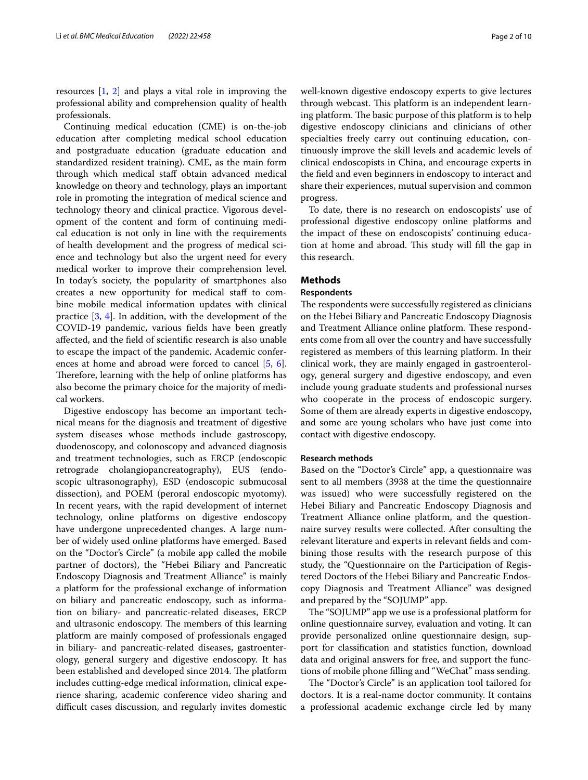resources [[1,](#page-9-0) [2\]](#page-9-1) and plays a vital role in improving the professional ability and comprehension quality of health professionals.

Continuing medical education (CME) is on-the-job education after completing medical school education and postgraduate education (graduate education and standardized resident training). CME, as the main form through which medical staff obtain advanced medical knowledge on theory and technology, plays an important role in promoting the integration of medical science and technology theory and clinical practice. Vigorous development of the content and form of continuing medical education is not only in line with the requirements of health development and the progress of medical science and technology but also the urgent need for every medical worker to improve their comprehension level. In today's society, the popularity of smartphones also creates a new opportunity for medical staf to combine mobile medical information updates with clinical practice [[3,](#page-9-2) [4](#page-9-3)]. In addition, with the development of the COVID-19 pandemic, various felds have been greatly afected, and the feld of scientifc research is also unable to escape the impact of the pandemic. Academic conferences at home and abroad were forced to cancel [\[5](#page-9-4), [6](#page-9-5)]. Therefore, learning with the help of online platforms has also become the primary choice for the majority of medical workers.

Digestive endoscopy has become an important technical means for the diagnosis and treatment of digestive system diseases whose methods include gastroscopy, duodenoscopy, and colonoscopy and advanced diagnosis and treatment technologies, such as ERCP (endoscopic retrograde cholangiopancreatography), EUS (endoscopic ultrasonography), ESD (endoscopic submucosal dissection), and POEM (peroral endoscopic myotomy). In recent years, with the rapid development of internet technology, online platforms on digestive endoscopy have undergone unprecedented changes. A large number of widely used online platforms have emerged. Based on the "Doctor's Circle" (a mobile app called the mobile partner of doctors), the "Hebei Biliary and Pancreatic Endoscopy Diagnosis and Treatment Alliance" is mainly a platform for the professional exchange of information on biliary and pancreatic endoscopy, such as information on biliary- and pancreatic-related diseases, ERCP and ultrasonic endoscopy. The members of this learning platform are mainly composed of professionals engaged in biliary- and pancreatic-related diseases, gastroenterology, general surgery and digestive endoscopy. It has been established and developed since 2014. The platform includes cutting-edge medical information, clinical experience sharing, academic conference video sharing and difficult cases discussion, and regularly invites domestic well-known digestive endoscopy experts to give lectures through webcast. This platform is an independent learning platform. The basic purpose of this platform is to help digestive endoscopy clinicians and clinicians of other specialties freely carry out continuing education, continuously improve the skill levels and academic levels of clinical endoscopists in China, and encourage experts in the feld and even beginners in endoscopy to interact and share their experiences, mutual supervision and common progress.

To date, there is no research on endoscopists' use of professional digestive endoscopy online platforms and the impact of these on endoscopists' continuing education at home and abroad. This study will fill the gap in this research.

## **Methods**

## **Respondents**

The respondents were successfully registered as clinicians on the Hebei Biliary and Pancreatic Endoscopy Diagnosis and Treatment Alliance online platform. These respondents come from all over the country and have successfully registered as members of this learning platform. In their clinical work, they are mainly engaged in gastroenterology, general surgery and digestive endoscopy, and even include young graduate students and professional nurses who cooperate in the process of endoscopic surgery. Some of them are already experts in digestive endoscopy, and some are young scholars who have just come into contact with digestive endoscopy.

## **Research methods**

Based on the "Doctor's Circle" app, a questionnaire was sent to all members (3938 at the time the questionnaire was issued) who were successfully registered on the Hebei Biliary and Pancreatic Endoscopy Diagnosis and Treatment Alliance online platform, and the questionnaire survey results were collected. After consulting the relevant literature and experts in relevant felds and combining those results with the research purpose of this study, the "Questionnaire on the Participation of Registered Doctors of the Hebei Biliary and Pancreatic Endoscopy Diagnosis and Treatment Alliance" was designed and prepared by the "SOJUMP" app.

The "SOJUMP" app we use is a professional platform for online questionnaire survey, evaluation and voting. It can provide personalized online questionnaire design, support for classifcation and statistics function, download data and original answers for free, and support the functions of mobile phone flling and "WeChat" mass sending.

The "Doctor's Circle" is an application tool tailored for doctors. It is a real-name doctor community. It contains a professional academic exchange circle led by many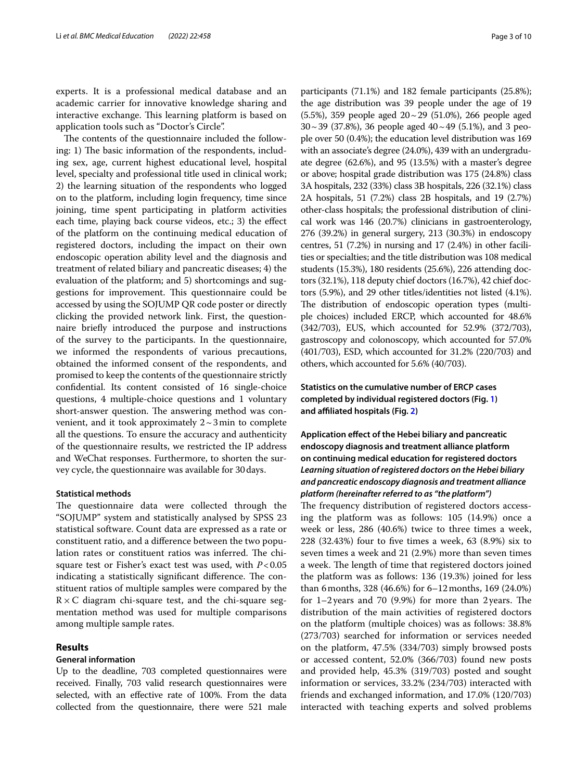experts. It is a professional medical database and an academic carrier for innovative knowledge sharing and interactive exchange. This learning platform is based on application tools such as "Doctor's Circle".

The contents of the questionnaire included the following: 1) The basic information of the respondents, including sex, age, current highest educational level, hospital level, specialty and professional title used in clinical work; 2) the learning situation of the respondents who logged on to the platform, including login frequency, time since joining, time spent participating in platform activities each time, playing back course videos, etc.; 3) the efect of the platform on the continuing medical education of registered doctors, including the impact on their own endoscopic operation ability level and the diagnosis and treatment of related biliary and pancreatic diseases; 4) the evaluation of the platform; and 5) shortcomings and suggestions for improvement. This questionnaire could be accessed by using the SOJUMP QR code poster or directly clicking the provided network link. First, the questionnaire briefy introduced the purpose and instructions of the survey to the participants. In the questionnaire, we informed the respondents of various precautions, obtained the informed consent of the respondents, and promised to keep the contents of the questionnaire strictly confdential. Its content consisted of 16 single-choice questions, 4 multiple-choice questions and 1 voluntary short-answer question. The answering method was convenient, and it took approximately  $2 \sim 3$  min to complete all the questions. To ensure the accuracy and authenticity of the questionnaire results, we restricted the IP address and WeChat responses. Furthermore, to shorten the survey cycle, the questionnaire was available for 30days.

## **Statistical methods**

The questionnaire data were collected through the "SOJUMP" system and statistically analysed by SPSS 23 statistical software. Count data are expressed as a rate or constituent ratio, and a diference between the two population rates or constituent ratios was inferred. The chisquare test or Fisher's exact test was used, with *P*<0.05 indicating a statistically significant difference. The constituent ratios of multiple samples were compared by the  $R \times C$  diagram chi-square test, and the chi-square segmentation method was used for multiple comparisons among multiple sample rates.

## **Results**

## **General information**

Up to the deadline, 703 completed questionnaires were received. Finally, 703 valid research questionnaires were selected, with an efective rate of 100%. From the data collected from the questionnaire, there were 521 male

participants (71.1%) and 182 female participants (25.8%); the age distribution was 39 people under the age of 19 (5.5%), 359 people aged 20~29 (51.0%), 266 people aged  $30 \sim 39$  (37.8%), 36 people aged  $40 \sim 49$  (5.1%), and 3 people over 50 (0.4%); the education level distribution was 169 with an associate's degree (24.0%), 439 with an undergraduate degree (62.6%), and 95 (13.5%) with a master's degree or above; hospital grade distribution was 175 (24.8%) class 3A hospitals, 232 (33%) class 3B hospitals, 226 (32.1%) class 2A hospitals, 51 (7.2%) class 2B hospitals, and 19 (2.7%) other-class hospitals; the professional distribution of clinical work was 146 (20.7%) clinicians in gastroenterology, 276 (39.2%) in general surgery, 213 (30.3%) in endoscopy centres, 51 (7.2%) in nursing and 17 (2.4%) in other facilities or specialties; and the title distribution was 108 medical students (15.3%), 180 residents (25.6%), 226 attending doctors (32.1%), 118 deputy chief doctors (16.7%), 42 chief doctors (5.9%), and 29 other titles/identities not listed (4.1%). The distribution of endoscopic operation types (multiple choices) included ERCP, which accounted for 48.6% (342/703), EUS, which accounted for 52.9% (372/703), gastroscopy and colonoscopy, which accounted for 57.0% (401/703), ESD, which accounted for 31.2% (220/703) and others, which accounted for 5.6% (40/703).

# **Statistics on the cumulative number of ERCP cases completed by individual registered doctors (Fig. [1\)](#page-3-0) and afliated hospitals (Fig. [2\)](#page-3-1)**

**Application efect of the Hebei biliary and pancreatic endoscopy diagnosis and treatment alliance platform on continuing medical education for registered doctors** *Learning situation of registered doctors on the Hebei biliary and pancreatic endoscopy diagnosis and treatment alliance platform (hereinafter referred to as "the platform")*

The frequency distribution of registered doctors accessing the platform was as follows: 105 (14.9%) once a week or less, 286 (40.6%) twice to three times a week, 228 (32.43%) four to fve times a week, 63 (8.9%) six to seven times a week and 21 (2.9%) more than seven times a week. The length of time that registered doctors joined the platform was as follows: 136 (19.3%) joined for less than 6months, 328 (46.6%) for 6–12months, 169 (24.0%) for  $1-2$  years and 70 (9.9%) for more than 2 years. The distribution of the main activities of registered doctors on the platform (multiple choices) was as follows: 38.8% (273/703) searched for information or services needed on the platform, 47.5% (334/703) simply browsed posts or accessed content, 52.0% (366/703) found new posts and provided help, 45.3% (319/703) posted and sought information or services, 33.2% (234/703) interacted with friends and exchanged information, and 17.0% (120/703) interacted with teaching experts and solved problems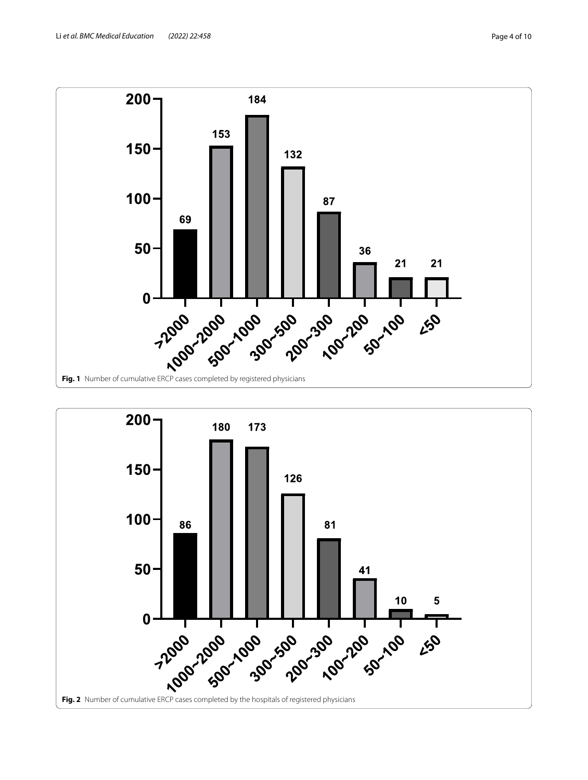

<span id="page-3-1"></span><span id="page-3-0"></span>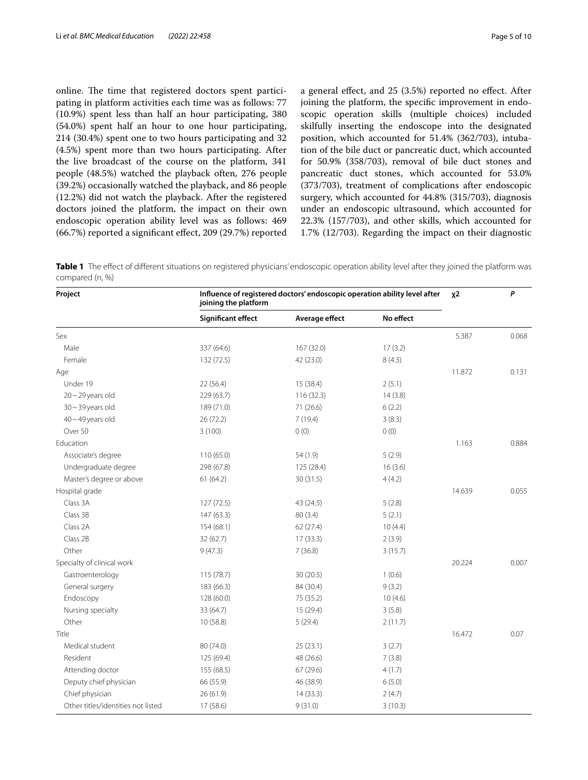online. The time that registered doctors spent participating in platform activities each time was as follows: 77 (10.9%) spent less than half an hour participating, 380 (54.0%) spent half an hour to one hour participating, 214 (30.4%) spent one to two hours participating and 32 (4.5%) spent more than two hours participating. After the live broadcast of the course on the platform, 341 people (48.5%) watched the playback often, 276 people (39.2%) occasionally watched the playback, and 86 people (12.2%) did not watch the playback. After the registered doctors joined the platform, the impact on their own endoscopic operation ability level was as follows: 469 (66.7%) reported a signifcant efect, 209 (29.7%) reported a general efect, and 25 (3.5%) reported no efect. After joining the platform, the specifc improvement in endoscopic operation skills (multiple choices) included skilfully inserting the endoscope into the designated position, which accounted for 51.4% (362/703), intubation of the bile duct or pancreatic duct, which accounted for 50.9% (358/703), removal of bile duct stones and pancreatic duct stones, which accounted for 53.0% (373/703), treatment of complications after endoscopic surgery, which accounted for 44.8% (315/703), diagnosis under an endoscopic ultrasound, which accounted for 22.3% (157/703), and other skills, which accounted for 1.7% (12/703). Regarding the impact on their diagnostic

<span id="page-4-0"></span>**Table 1** The effect of different situations on registered physicians' endoscopic operation ability level after they joined the platform was compared (n, %)

| Project                            | Influence of registered doctors' endoscopic operation ability level after<br>joining the platform | $x^2$          | P         |        |       |
|------------------------------------|---------------------------------------------------------------------------------------------------|----------------|-----------|--------|-------|
|                                    | Significant effect                                                                                | Average effect | No effect |        |       |
| Sex                                |                                                                                                   |                |           | 5.387  | 0.068 |
| Male                               | 337 (64.6)                                                                                        | 167 (32.0)     | 17(3.2)   |        |       |
| Female                             | 132 (72.5)                                                                                        | 42 (23.0)      | 8(4.3)    |        |       |
| Age                                |                                                                                                   |                |           | 11.872 | 0.131 |
| Under 19                           | 22(56.4)                                                                                          | 15 (38.4)      | 2(5.1)    |        |       |
| $20 - 29$ years old                | 229 (63.7)                                                                                        | 116 (32.3)     | 14(3.8)   |        |       |
| $30 - 39$ years old                | 189 (71.0)                                                                                        | 71 (26.6)      | 6(2.2)    |        |       |
| $40 - 49$ years old                | 26 (72.2)                                                                                         | 7(19.4)        | 3(8.3)    |        |       |
| Over 50                            | 3(100)                                                                                            | 0(0)           | 0(0)      |        |       |
| Education                          |                                                                                                   |                |           | 1.163  | 0.884 |
| Associate's degree                 | 110 (65.0)                                                                                        | 54 (1.9)       | 5(2.9)    |        |       |
| Undergraduate degree               | 298 (67.8)                                                                                        | 125 (28.4)     | 16(3.6)   |        |       |
| Master's degree or above           | 61(64.2)                                                                                          | 30(31.5)       | 4(4.2)    |        |       |
| Hospital grade                     |                                                                                                   |                |           | 14.639 | 0.055 |
| Class 3A                           | 127(72.5)                                                                                         | 43 (24.5)      | 5(2.8)    |        |       |
| Class 3B                           | 147 (63.3)                                                                                        | 80(3.4)        | 5(2.1)    |        |       |
| Class 2A                           | 154 (68.1)                                                                                        | 62 (27.4)      | 10(4.4)   |        |       |
| Class 2B                           | 32 (62.7)                                                                                         | 17(33.3)       | 2(3.9)    |        |       |
| Other                              | 9(47.3)                                                                                           | 7(36.8)        | 3(15.7)   |        |       |
| Specialty of clinical work         |                                                                                                   |                |           | 20.224 | 0.007 |
| Gastroenterology                   | 115 (78.7)                                                                                        | 30 (20.5)      | 1(0.6)    |        |       |
| General surgery                    | 183 (66.3)                                                                                        | 84 (30.4)      | 9(3.2)    |        |       |
| Endoscopy                          | 128 (60.0)                                                                                        | 75 (35.2)      | 10(4.6)   |        |       |
| Nursing specialty                  | 33 (64.7)                                                                                         | 15 (29.4)      | 3(5.8)    |        |       |
| Other                              | 10(58.8)                                                                                          | 5(29.4)        | 2(11.7)   |        |       |
| Title                              |                                                                                                   |                |           | 16.472 | 0.07  |
| Medical student                    | 80 (74.0)                                                                                         | 25(23.1)       | 3(2.7)    |        |       |
| Resident                           | 125 (69.4)                                                                                        | 48 (26.6)      | 7(3.8)    |        |       |
| Attending doctor                   | 155 (68.5)                                                                                        | 67(29.6)       | 4(1.7)    |        |       |
| Deputy chief physician             | 66 (55.9)                                                                                         | 46 (38.9)      | 6(5.0)    |        |       |
| Chief physician                    | 26(61.9)                                                                                          | 14(33.3)       | 2(4.7)    |        |       |
| Other titles/identities not listed | 17 (58.6)                                                                                         | 9(31.0)        | 3(10.3)   |        |       |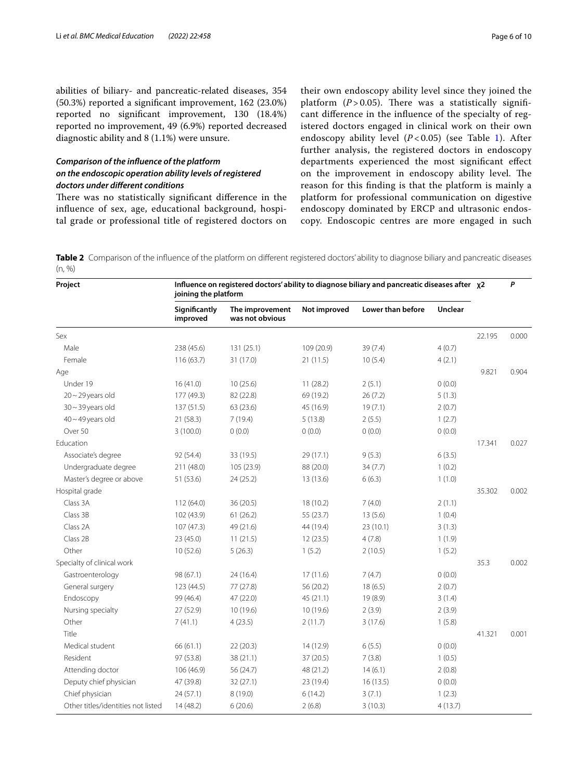abilities of biliary- and pancreatic-related diseases, 354 (50.3%) reported a signifcant improvement, 162 (23.0%) reported no signifcant improvement, 130 (18.4%) reported no improvement, 49 (6.9%) reported decreased diagnostic ability and 8 (1.1%) were unsure.

# *Comparison of the infuence of the platform on the endoscopic operation ability levels of registered doctors under diferent conditions*

There was no statistically significant difference in the infuence of sex, age, educational background, hospital grade or professional title of registered doctors on their own endoscopy ability level since they joined the platform  $(P > 0.05)$ . There was a statistically significant diference in the infuence of the specialty of registered doctors engaged in clinical work on their own endoscopy ability level (*P* < 0.05) (see Table [1](#page-4-0)). After further analysis, the registered doctors in endoscopy departments experienced the most signifcant efect on the improvement in endoscopy ability level. The reason for this fnding is that the platform is mainly a platform for professional communication on digestive endoscopy dominated by ERCP and ultrasonic endoscopy. Endoscopic centres are more engaged in such

<span id="page-5-0"></span>Table 2 Comparison of the influence of the platform on different registered doctors' ability to diagnose biliary and pancreatic diseases (n, %)

| Project                            | Influence on registered doctors' ability to diagnose biliary and pancreatic diseases after x2<br>joining the platform |                                    |              |                   |                |        | P     |
|------------------------------------|-----------------------------------------------------------------------------------------------------------------------|------------------------------------|--------------|-------------------|----------------|--------|-------|
|                                    | Significantly<br>improved                                                                                             | The improvement<br>was not obvious | Not improved | Lower than before | <b>Unclear</b> |        |       |
| Sex                                |                                                                                                                       |                                    |              |                   |                | 22.195 | 0.000 |
| Male                               | 238 (45.6)                                                                                                            | 131 (25.1)                         | 109 (20.9)   | 39 (7.4)          | 4(0.7)         |        |       |
| Female                             | 116(63.7)                                                                                                             | 31 (17.0)                          | 21 (11.5)    | 10(5.4)           | 4(2.1)         |        |       |
| Age                                |                                                                                                                       |                                    |              |                   |                | 9.821  | 0.904 |
| Under 19                           | 16(41.0)                                                                                                              | 10(25.6)                           | 11(28.2)     | 2(5.1)            | 0(0.0)         |        |       |
| $20 - 29$ years old                | 177 (49.3)                                                                                                            | 82 (22.8)                          | 69 (19.2)    | 26(7.2)           | 5(1.3)         |        |       |
| $30 - 39$ years old                | 137 (51.5)                                                                                                            | 63 (23.6)                          | 45 (16.9)    | 19(7.1)           | 2(0.7)         |        |       |
| $40 - 49$ years old                | 21 (58.3)                                                                                                             | 7(19.4)                            | 5(13.8)      | 2(5.5)            | 1(2.7)         |        |       |
| Over 50                            | 3(100.0)                                                                                                              | 0(0.0)                             | 0(0.0)       | 0(0.0)            | 0(0.0)         |        |       |
| Education                          |                                                                                                                       |                                    |              |                   |                | 17.341 | 0.027 |
| Associate's degree                 | 92 (54.4)                                                                                                             | 33 (19.5)                          | 29 (17.1)    | 9(5.3)            | 6(3.5)         |        |       |
| Undergraduate degree               | 211 (48.0)                                                                                                            | 105 (23.9)                         | 88 (20.0)    | 34 (7.7)          | 1(0.2)         |        |       |
| Master's degree or above           | 51 (53.6)                                                                                                             | 24(25.2)                           | 13 (13.6)    | 6(6.3)            | 1(1.0)         |        |       |
| Hospital grade                     |                                                                                                                       |                                    |              |                   |                | 35.302 | 0.002 |
| Class 3A                           | 112 (64.0)                                                                                                            | 36 (20.5)                          | 18 (10.2)    | 7(4.0)            | 2(1.1)         |        |       |
| Class 3B                           | 102 (43.9)                                                                                                            | 61(26.2)                           | 55 (23.7)    | 13(5.6)           | 1(0.4)         |        |       |
| Class 2A                           | 107(47.3)                                                                                                             | 49 (21.6)                          | 44 (19.4)    | 23(10.1)          | 3(1.3)         |        |       |
| Class 2B                           | 23(45.0)                                                                                                              | 11(21.5)                           | 12(23.5)     | 4(7.8)            | 1(1.9)         |        |       |
| Other                              | 10(52.6)                                                                                                              | 5(26.3)                            | 1(5.2)       | 2(10.5)           | 1(5.2)         |        |       |
| Specialty of clinical work         |                                                                                                                       |                                    |              |                   |                | 35.3   | 0.002 |
| Gastroenterology                   | 98 (67.1)                                                                                                             | 24 (16.4)                          | 17(11.6)     | 7(4.7)            | 0(0.0)         |        |       |
| General surgery                    | 123 (44.5)                                                                                                            | 77 (27.8)                          | 56 (20.2)    | 18(6.5)           | 2(0.7)         |        |       |
| Endoscopy                          | 99 (46.4)                                                                                                             | 47 (22.0)                          | 45 (21.1)    | 19 (8.9)          | 3(1.4)         |        |       |
| Nursing specialty                  | 27 (52.9)                                                                                                             | 10 (19.6)                          | 10 (19.6)    | 2(3.9)            | 2(3.9)         |        |       |
| Other                              | 7(41.1)                                                                                                               | 4(23.5)                            | 2(11.7)      | 3(17.6)           | 1(5.8)         |        |       |
| Title                              |                                                                                                                       |                                    |              |                   |                | 41.321 | 0.001 |
| Medical student                    | 66 (61.1)                                                                                                             | 22(20.3)                           | 14 (12.9)    | 6(5.5)            | 0(0.0)         |        |       |
| Resident                           | 97 (53.8)                                                                                                             | 38 (21.1)                          | 37 (20.5)    | 7(3.8)            | 1(0.5)         |        |       |
| Attending doctor                   | 106 (46.9)                                                                                                            | 56 (24.7)                          | 48 (21.2)    | 14(6.1)           | 2(0.8)         |        |       |
| Deputy chief physician             | 47 (39.8)                                                                                                             | 32 (27.1)                          | 23 (19.4)    | 16(13.5)          | 0(0.0)         |        |       |
| Chief physician                    | 24(57.1)                                                                                                              | 8(19.0)                            | 6(14.2)      | 3(7.1)            | 1(2.3)         |        |       |
| Other titles/identities not listed | 14(48.2)                                                                                                              | 6(20.6)                            | 2(6.8)       | 3(10.3)           | 4(13.7)        |        |       |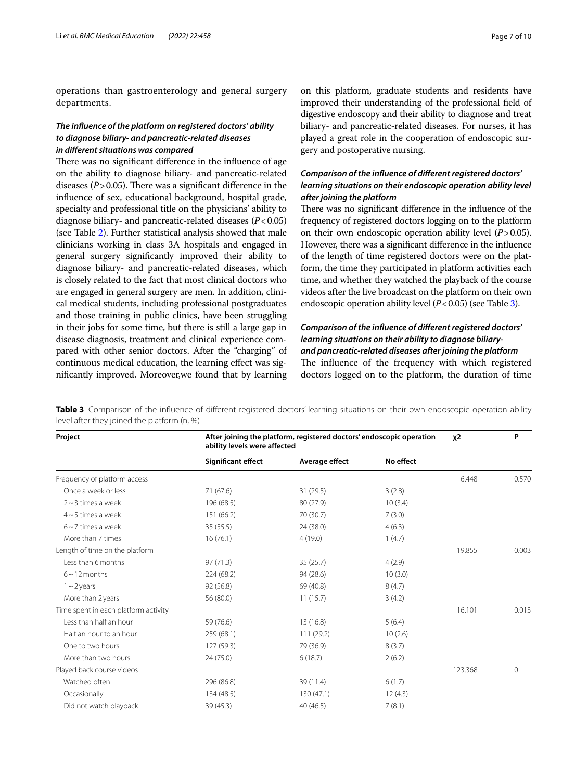operations than gastroenterology and general surgery departments.

## *The infuence of the platform on registered doctors' ability to diagnose biliary‑ and pancreatic‑related diseases in diferent situations was compared*

There was no significant difference in the influence of age on the ability to diagnose biliary- and pancreatic-related diseases  $(P > 0.05)$ . There was a significant difference in the infuence of sex, educational background, hospital grade, specialty and professional title on the physicians' ability to diagnose biliary- and pancreatic-related diseases (*P*<0.05) (see Table [2](#page-5-0)). Further statistical analysis showed that male clinicians working in class 3A hospitals and engaged in general surgery signifcantly improved their ability to diagnose biliary- and pancreatic-related diseases, which is closely related to the fact that most clinical doctors who are engaged in general surgery are men. In addition, clinical medical students, including professional postgraduates and those training in public clinics, have been struggling in their jobs for some time, but there is still a large gap in disease diagnosis, treatment and clinical experience compared with other senior doctors. After the "charging" of continuous medical education, the learning efect was signifcantly improved. Moreover,we found that by learning

on this platform, graduate students and residents have improved their understanding of the professional feld of digestive endoscopy and their ability to diagnose and treat biliary- and pancreatic-related diseases. For nurses, it has played a great role in the cooperation of endoscopic surgery and postoperative nursing.

# *Comparison of the infuence of diferent registered doctors' learning situations on their endoscopic operation ability level after joining the platform*

There was no significant difference in the influence of the frequency of registered doctors logging on to the platform on their own endoscopic operation ability level (*P*>0.05). However, there was a signifcant diference in the infuence of the length of time registered doctors were on the platform, the time they participated in platform activities each time, and whether they watched the playback of the course videos after the live broadcast on the platform on their own endoscopic operation ability level (*P*<0.05) (see Table [3\)](#page-6-0).

# *Comparison of the infuence of diferent registered doctors' learning situations on their ability to diagnose biliary‑ and pancreatic‑related diseases after joining the platform* The influence of the frequency with which registered doctors logged on to the platform, the duration of time

<span id="page-6-0"></span>**Table 3** Comparison of the influence of different registered doctors' learning situations on their own endoscopic operation ability level after they joined the platform (n, %)

| Project                              | After joining the platform, registered doctors' endoscopic operation<br>ability levels were affected | $x^2$          | P         |         |          |
|--------------------------------------|------------------------------------------------------------------------------------------------------|----------------|-----------|---------|----------|
|                                      | Significant effect                                                                                   | Average effect | No effect |         |          |
| Frequency of platform access         |                                                                                                      |                |           | 6.448   | 0.570    |
| Once a week or less                  | 71 (67.6)                                                                                            | 31 (29.5)      | 3(2.8)    |         |          |
| $2 \sim$ 3 times a week              | 196 (68.5)                                                                                           | 80 (27.9)      | 10(3.4)   |         |          |
| $4 \sim 5$ times a week              | 151 (66.2)                                                                                           | 70 (30.7)      | 7(3.0)    |         |          |
| $6 \sim 7$ times a week              | 35(55.5)                                                                                             | 24 (38.0)      | 4(6.3)    |         |          |
| More than 7 times                    | 16(76.1)                                                                                             | 4(19.0)        | 1(4.7)    |         |          |
| Length of time on the platform       |                                                                                                      |                |           | 19.855  | 0.003    |
| Less than 6 months                   | 97(71.3)                                                                                             | 35(25.7)       | 4(2.9)    |         |          |
| $6 \sim 12$ months                   | 224 (68.2)                                                                                           | 94 (28.6)      | 10(3.0)   |         |          |
| $1 - 2$ years                        | 92 (56.8)                                                                                            | 69 (40.8)      | 8(4.7)    |         |          |
| More than 2 years                    | 56 (80.0)                                                                                            | 11(15.7)       | 3(4.2)    |         |          |
| Time spent in each platform activity |                                                                                                      |                |           | 16.101  | 0.013    |
| Less than half an hour               | 59 (76.6)                                                                                            | 13 (16.8)      | 5(6.4)    |         |          |
| Half an hour to an hour              | 259 (68.1)                                                                                           | 111(29.2)      | 10(2.6)   |         |          |
| One to two hours                     | 127 (59.3)                                                                                           | 79 (36.9)      | 8(3.7)    |         |          |
| More than two hours                  | 24 (75.0)                                                                                            | 6(18.7)        | 2(6.2)    |         |          |
| Played back course videos            |                                                                                                      |                |           | 123.368 | $\Omega$ |
| Watched often                        | 296 (86.8)                                                                                           | 39 (11.4)      | 6(1.7)    |         |          |
| Occasionally                         | 134 (48.5)                                                                                           | 130(47.1)      | 12(4.3)   |         |          |
| Did not watch playback               | 39 (45.3)                                                                                            | 40 (46.5)      | 7(8.1)    |         |          |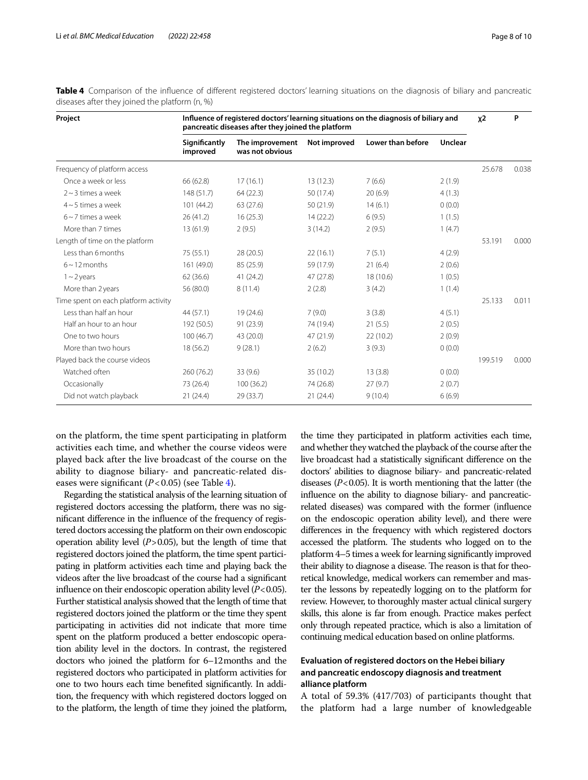| Project                              | Influence of registered doctors' learning situations on the diagnosis of biliary and<br>pancreatic diseases after they joined the platform |                                    |              |                   |         | $x^2$   | P     |
|--------------------------------------|--------------------------------------------------------------------------------------------------------------------------------------------|------------------------------------|--------------|-------------------|---------|---------|-------|
|                                      | Significantly<br>improved                                                                                                                  | The improvement<br>was not obvious | Not improved | Lower than before | Unclear |         |       |
| Frequency of platform access         |                                                                                                                                            |                                    |              |                   |         | 25.678  | 0.038 |
| Once a week or less                  | 66 (62.8)                                                                                                                                  | 17(16.1)                           | 13(12.3)     | 7(6.6)            | 2(1.9)  |         |       |
| $2 \sim 3$ times a week              | 148 (51.7)                                                                                                                                 | 64(22.3)                           | 50 (17.4)    | 20(6.9)           | 4(1.3)  |         |       |
| $4 \sim 5$ times a week              | 101 (44.2)                                                                                                                                 | 63 (27.6)                          | 50 (21.9)    | 14(6.1)           | 0(0.0)  |         |       |
| $6 \sim 7$ times a week              | 26(41.2)                                                                                                                                   | 16(25.3)                           | 14(22.2)     | 6(9.5)            | 1(1.5)  |         |       |
| More than 7 times                    | 13(61.9)                                                                                                                                   | 2(9.5)                             | 3(14.2)      | 2(9.5)            | 1(4.7)  |         |       |
| Length of time on the platform       |                                                                                                                                            |                                    |              |                   |         | 53.191  | 0.000 |
| Less than 6 months                   | 75 (55.1)                                                                                                                                  | 28 (20.5)                          | 22(16.1)     | 7(5.1)            | 4(2.9)  |         |       |
| $6 \sim 12$ months                   | 161 (49.0)                                                                                                                                 | 85 (25.9)                          | 59 (17.9)    | 21(6.4)           | 2(0.6)  |         |       |
| $1 - 2$ years                        | 62(36.6)                                                                                                                                   | 41 (24.2)                          | 47 (27.8)    | 18 (10.6)         | 1(0.5)  |         |       |
| More than 2 years                    | 56 (80.0)                                                                                                                                  | 8(11.4)                            | 2(2.8)       | 3(4.2)            | 1(1.4)  |         |       |
| Time spent on each platform activity |                                                                                                                                            |                                    |              |                   |         | 25.133  | 0.011 |
| Less than half an hour               | 44 (57.1)                                                                                                                                  | 19 (24.6)                          | 7(9.0)       | 3(3.8)            | 4(5.1)  |         |       |
| Half an hour to an hour              | 192 (50.5)                                                                                                                                 | 91 (23.9)                          | 74 (19.4)    | 21(5.5)           | 2(0.5)  |         |       |
| One to two hours                     | 100(46.7)                                                                                                                                  | 43 (20.0)                          | 47 (21.9)    | 22(10.2)          | 2(0.9)  |         |       |
| More than two hours                  | 18 (56.2)                                                                                                                                  | 9(28.1)                            | 2(6.2)       | 3(9.3)            | 0(0.0)  |         |       |
| Played back the course videos        |                                                                                                                                            |                                    |              |                   |         | 199.519 | 0.000 |
| Watched often                        | 260 (76.2)                                                                                                                                 | 33 (9.6)                           | 35 (10.2)    | 13(3.8)           | 0(0.0)  |         |       |
| Occasionally                         | 73 (26.4)                                                                                                                                  | 100(36.2)                          | 74 (26.8)    | 27(9.7)           | 2(0.7)  |         |       |
| Did not watch playback               | 21(24.4)                                                                                                                                   | 29 (33.7)                          | 21(24.4)     | 9(10.4)           | 6(6.9)  |         |       |

<span id="page-7-0"></span>**Table 4** Comparison of the infuence of diferent registered doctors' learning situations on the diagnosis of biliary and pancreatic diseases after they joined the platform (n, %)

on the platform, the time spent participating in platform activities each time, and whether the course videos were played back after the live broadcast of the course on the ability to diagnose biliary- and pancreatic-related diseases were signifcant (*P*<0.05) (see Table [4\)](#page-7-0).

Regarding the statistical analysis of the learning situation of registered doctors accessing the platform, there was no signifcant diference in the infuence of the frequency of registered doctors accessing the platform on their own endoscopic operation ability level  $(P>0.05)$ , but the length of time that registered doctors joined the platform, the time spent participating in platform activities each time and playing back the videos after the live broadcast of the course had a signifcant infuence on their endoscopic operation ability level (*P*<0.05). Further statistical analysis showed that the length of time that registered doctors joined the platform or the time they spent participating in activities did not indicate that more time spent on the platform produced a better endoscopic operation ability level in the doctors. In contrast, the registered doctors who joined the platform for 6–12months and the registered doctors who participated in platform activities for one to two hours each time benefted signifcantly. In addition, the frequency with which registered doctors logged on to the platform, the length of time they joined the platform,

the time they participated in platform activities each time, and whether they watched the playback of the course after the live broadcast had a statistically signifcant diference on the doctors' abilities to diagnose biliary- and pancreatic-related diseases (*P*<0.05). It is worth mentioning that the latter (the infuence on the ability to diagnose biliary- and pancreaticrelated diseases) was compared with the former (infuence on the endoscopic operation ability level), and there were diferences in the frequency with which registered doctors accessed the platform. The students who logged on to the platform 4–5 times a week for learning signifcantly improved their ability to diagnose a disease. The reason is that for theoretical knowledge, medical workers can remember and master the lessons by repeatedly logging on to the platform for review. However, to thoroughly master actual clinical surgery skills, this alone is far from enough. Practice makes perfect only through repeated practice, which is also a limitation of continuing medical education based on online platforms.

# **Evaluation of registered doctors on the Hebei biliary and pancreatic endoscopy diagnosis and treatment alliance platform**

A total of 59.3% (417/703) of participants thought that the platform had a large number of knowledgeable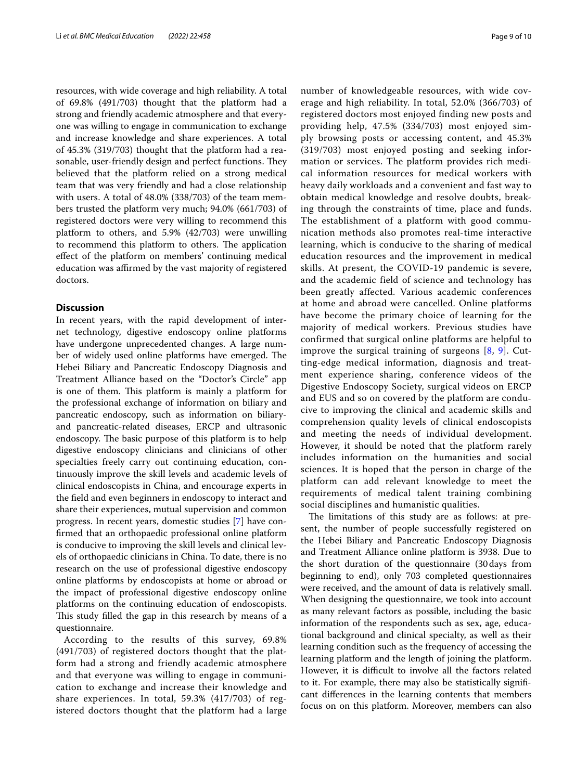resources, with wide coverage and high reliability. A total of 69.8% (491/703) thought that the platform had a strong and friendly academic atmosphere and that everyone was willing to engage in communication to exchange and increase knowledge and share experiences. A total of 45.3% (319/703) thought that the platform had a reasonable, user-friendly design and perfect functions. They believed that the platform relied on a strong medical team that was very friendly and had a close relationship with users. A total of 48.0% (338/703) of the team members trusted the platform very much; 94.0% (661/703) of registered doctors were very willing to recommend this platform to others, and 5.9% (42/703) were unwilling to recommend this platform to others. The application efect of the platform on members' continuing medical education was affirmed by the vast majority of registered doctors.

## **Discussion**

In recent years, with the rapid development of internet technology, digestive endoscopy online platforms have undergone unprecedented changes. A large number of widely used online platforms have emerged. The Hebei Biliary and Pancreatic Endoscopy Diagnosis and Treatment Alliance based on the "Doctor's Circle" app is one of them. This platform is mainly a platform for the professional exchange of information on biliary and pancreatic endoscopy, such as information on biliaryand pancreatic-related diseases, ERCP and ultrasonic endoscopy. The basic purpose of this platform is to help digestive endoscopy clinicians and clinicians of other specialties freely carry out continuing education, continuously improve the skill levels and academic levels of clinical endoscopists in China, and encourage experts in the feld and even beginners in endoscopy to interact and share their experiences, mutual supervision and common progress. In recent years, domestic studies [\[7](#page-9-6)] have confrmed that an orthopaedic professional online platform is conducive to improving the skill levels and clinical levels of orthopaedic clinicians in China. To date, there is no research on the use of professional digestive endoscopy online platforms by endoscopists at home or abroad or the impact of professional digestive endoscopy online platforms on the continuing education of endoscopists. This study filled the gap in this research by means of a questionnaire.

According to the results of this survey, 69.8% (491/703) of registered doctors thought that the platform had a strong and friendly academic atmosphere and that everyone was willing to engage in communication to exchange and increase their knowledge and share experiences. In total, 59.3% (417/703) of registered doctors thought that the platform had a large number of knowledgeable resources, with wide coverage and high reliability. In total, 52.0% (366/703) of registered doctors most enjoyed finding new posts and providing help, 47.5% (334/703) most enjoyed simply browsing posts or accessing content, and 45.3% (319/703) most enjoyed posting and seeking information or services. The platform provides rich medical information resources for medical workers with heavy daily workloads and a convenient and fast way to obtain medical knowledge and resolve doubts, breaking through the constraints of time, place and funds. The establishment of a platform with good communication methods also promotes real-time interactive learning, which is conducive to the sharing of medical education resources and the improvement in medical skills. At present, the COVID-19 pandemic is severe, and the academic field of science and technology has been greatly affected. Various academic conferences at home and abroad were cancelled. Online platforms have become the primary choice of learning for the majority of medical workers. Previous studies have confirmed that surgical online platforms are helpful to improve the surgical training of surgeons [\[8,](#page-9-7) [9\]](#page-9-8). Cutting-edge medical information, diagnosis and treatment experience sharing, conference videos of the Digestive Endoscopy Society, surgical videos on ERCP and EUS and so on covered by the platform are conducive to improving the clinical and academic skills and comprehension quality levels of clinical endoscopists and meeting the needs of individual development. However, it should be noted that the platform rarely includes information on the humanities and social sciences. It is hoped that the person in charge of the platform can add relevant knowledge to meet the requirements of medical talent training combining social disciplines and humanistic qualities.

The limitations of this study are as follows: at present, the number of people successfully registered on the Hebei Biliary and Pancreatic Endoscopy Diagnosis and Treatment Alliance online platform is 3938. Due to the short duration of the questionnaire (30days from beginning to end), only 703 completed questionnaires were received, and the amount of data is relatively small. When designing the questionnaire, we took into account as many relevant factors as possible, including the basic information of the respondents such as sex, age, educational background and clinical specialty, as well as their learning condition such as the frequency of accessing the learning platform and the length of joining the platform. However, it is difficult to involve all the factors related to it. For example, there may also be statistically signifcant diferences in the learning contents that members focus on on this platform. Moreover, members can also